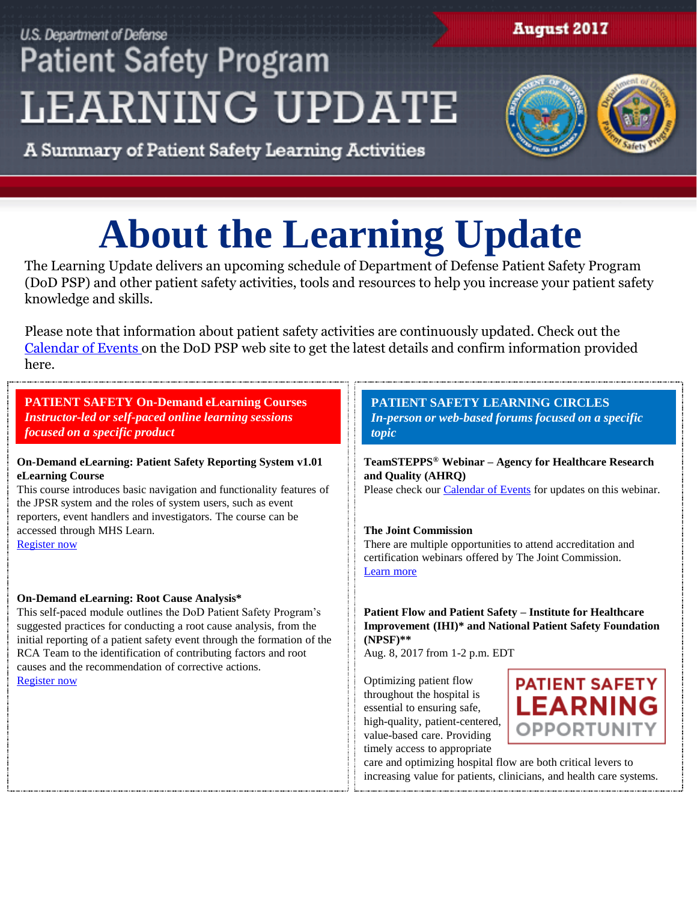## **U.S. Department of Defense Patient Safety Program LEARNING UPDATE**

### **August 2017**



A Summary of Patient Safety Learning Activities

# **About the Learning Update**

The Learning Update delivers an upcoming schedule of Department of Defense Patient Safety Program (DoD PSP) and other patient safety activities, tools and resources to help you increase your patient safety knowledge and skills.

Please note that information about patient safety activities are continuously updated. Check out the [Calendar of Events](http://www.health.mil/Military-Health-Topics/Access-Cost-Quality-and-Safety/Quality-And-Safety-of-Healthcare/Patient-Safety/Calendar-of-Events) on the DoD PSP web site to get the latest details and confirm information provided here.

#### **PATIENT SAFETY On-Demand eLearning Courses**  *Instructor-led or self-paced online learning sessions focused on a specific product*

#### **On-Demand eLearning: Patient Safety Reporting System v1.01 eLearning Course**

This course introduces basic navigation and functionality features of the JPSR system and the roles of system users, such as event reporters, event handlers and investigators. The course can be accessed through MHS Learn. [Register now](http://health.mil/Military-Health-Topics/Access-Cost-Quality-and-Safety/Quality-And-Safety-of-Healthcare/Patient-Safety/Patient-Safety-Products-And-Services/eLearning-Courses)

#### **On-Demand eLearning: Root Cause Analysis\***

This self-paced module outlines the DoD Patient Safety Program's suggested practices for conducting a root cause analysis, from the initial reporting of a patient safety event through the formation of the RCA Team to the identification of contributing factors and root causes and the recommendation of corrective actions. [Register now](https://www.onlineregistrationcenter.com/register.asp?m=250&c=4131)

#### **PATIENT SAFETY LEARNING CIRCLES** *In-person or web-based forums focused on a specific topic*

**TeamSTEPPS® Webinar – Agency for Healthcare Research and Quality (AHRQ)**

Please check our [Calendar of Events](http://health.mil/Military-Health-Topics/Access-Cost-Quality-and-Safety/Quality-And-Safety-of-Healthcare/Patient-Safety/Calendar-of-Events) for updates on this webinar.

#### **The Joint Commission**

There are multiple opportunities to attend accreditation and certification webinars offered by The Joint Commission. [Learn more](https://www.jointcommission.org/events/)

**Patient Flow and Patient Safety – Institute for Healthcare Improvement (IHI)\* and National Patient Safety Foundation (NPSF)\*\*** 

Aug. 8, 2017 from 1-2 p.m. EDT

Optimizing patient flow throughout the hospital is essential to ensuring safe, high-quality, patient-centered, value-based care. Providing timely access to appropriate



care and optimizing hospital flow are both critical levers to increasing value for patients, clinicians, and health care systems.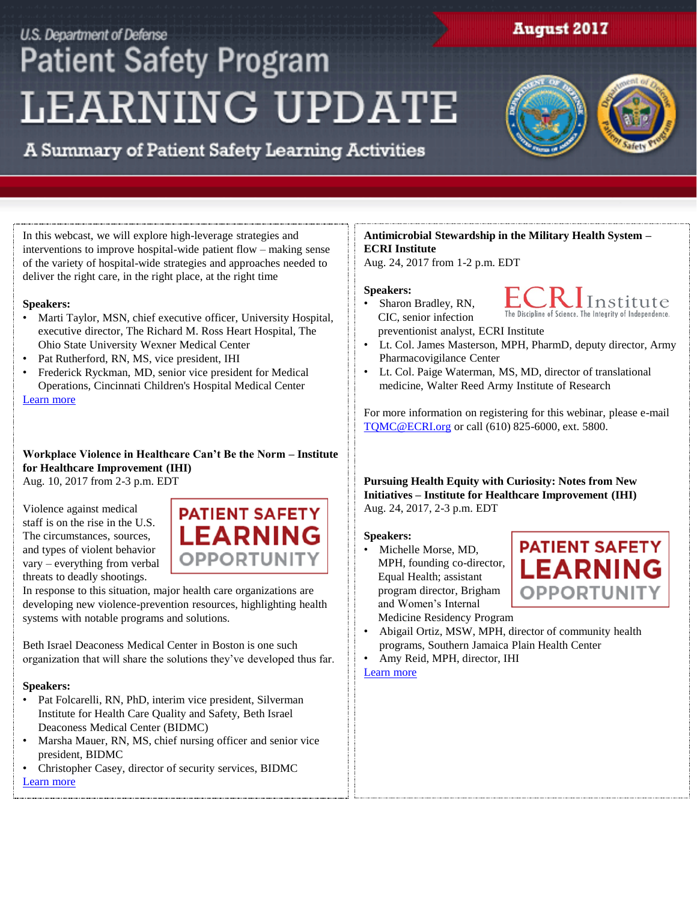### U.S. Department of Defense **Patient Safety Program LEARNING UPDATE**

**August 2017** 



A Summary of Patient Safety Learning Activities

In this webcast, we will explore high-leverage strategies and interventions to improve hospital-wide patient flow – making sense of the variety of hospital-wide strategies and approaches needed to deliver the right care, in the right place, at the right time

#### **Speakers:**

- Marti Taylor, MSN, chief executive officer, University Hospital, executive director, The Richard M. Ross Heart Hospital, The Ohio State University Wexner Medical Center
- Pat Rutherford, RN, MS, vice president, IHI
- Frederick Ryckman, MD, senior vice president for Medical Operations, Cincinnati Children's Hospital Medical Center [Learn more](http://www.npsf.org/events/EventDetails.aspx?id=983822&group=)

#### **Workplace Violence in Healthcare Can't Be the Norm – Institute for Healthcare Improvement (IHI)** Aug. 10, 2017 from 2-3 p.m. EDT

Violence against medical staff is on the rise in the U.S. The circumstances, sources, and types of violent behavior vary – everything from verbal threats to deadly shootings.



In response to this situation, major health care organizations are developing new violence-prevention resources, highlighting health systems with notable programs and solutions.

Beth Israel Deaconess Medical Center in Boston is one such organization that will share the solutions they've developed thus far.

#### **Speakers:**

- Pat Folcarelli, RN, PhD, interim vice president, Silverman Institute for Health Care Quality and Safety, Beth Israel Deaconess Medical Center (BIDMC)
- Marsha Mauer, RN, MS, chief nursing officer and senior vice president, BIDMC
- Christopher Casey, director of security services, BIDMC [Learn more](http://www.ihi.org/education/AudioVideo/WIHI/workplace-violence-in-health-care-can)

#### **Antimicrobial Stewardship in the Military Health System – ECRI Institute**

Aug. 24, 2017 from 1-2 p.m. EDT

#### **Speakers:**

- $\lfloor$ Institute The Discipline of Science. The Integrity of Independence
- Sharon Bradley, RN, CIC, senior infection preventionist analyst, ECRI Institute
- Lt. Col. James Masterson, MPH, PharmD, deputy director, Army Pharmacovigilance Center
- Lt. Col. Paige Waterman, MS, MD, director of translational medicine, Walter Reed Army Institute of Research

For more information on registering for this webinar, please e-mail [TQMC@ECRI.org](mailto:TQMC@ECRI.org) or call (610) 825-6000, ext. 5800.

**Pursuing Health Equity with Curiosity: Notes from New Initiatives – Institute for Healthcare Improvement (IHI)** Aug. 24, 2017, 2-3 p.m. EDT

#### **Speakers:**

• Michelle Morse, MD, MPH, founding co-director, Equal Health; assistant program director, Brigham and Women's Internal Medicine Residency Program



- Abigail Ortiz, MSW, MPH, director of community health programs, Southern Jamaica Plain Health Center
- Amy Reid, MPH, director, IHI

[Learn more](http://www.ihi.org/education/AudioVideo/WIHI/Pages/default.aspx)